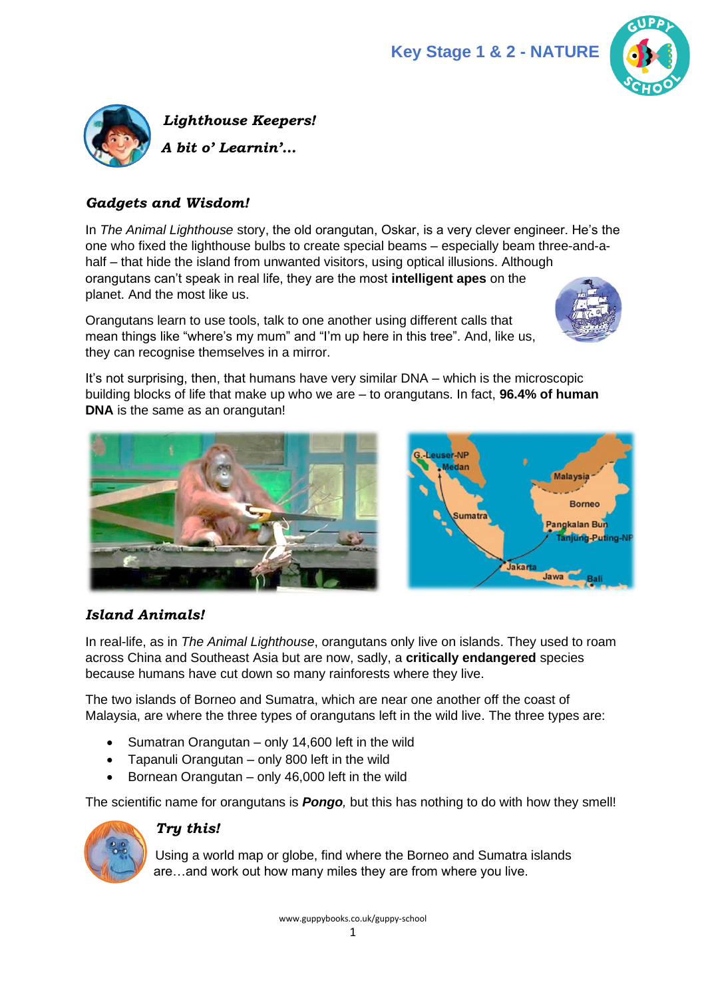



#### *Gadgets and Wisdom!*

In *The Animal Lighthouse* story, the old orangutan, Oskar, is a very clever engineer. He's the one who fixed the lighthouse bulbs to create special beams – especially beam three-and-ahalf – that hide the island from unwanted visitors, using optical illusions. Although orangutans can't speak in real life, they are the most **intelligent apes** on the planet. And the most like us.

Orangutans learn to use tools, talk to one another using different calls that mean things like "where's my mum" and "I'm up here in this tree". And, like us, they can recognise themselves in a mirror.



It's not surprising, then, that humans have very similar DNA – which is the microscopic building blocks of life that make up who we are – to orangutans. In fact, **96.4% of human DNA** is the same as an orangutan!





# *Island Animals!*

In real-life, as in *The Animal Lighthouse*, orangutans only live on islands. They used to roam across China and Southeast Asia but are now, sadly, a **critically endangered** species because humans have cut down so many rainforests where they live.

The two islands of Borneo and Sumatra, which are near one another off the coast of Malaysia, are where the three types of orangutans left in the wild live. The three types are:

- Sumatran Orangutan only 14,600 left in the wild
- Tapanuli Orangutan only 800 left in the wild
- Bornean Orangutan only 46,000 left in the wild

The scientific name for orangutans is *Pongo,* but this has nothing to do with how they smell!



## *Try this!*

Using a world map or globe, find where the Borneo and Sumatra islands are…and work out how many miles they are from where you live.